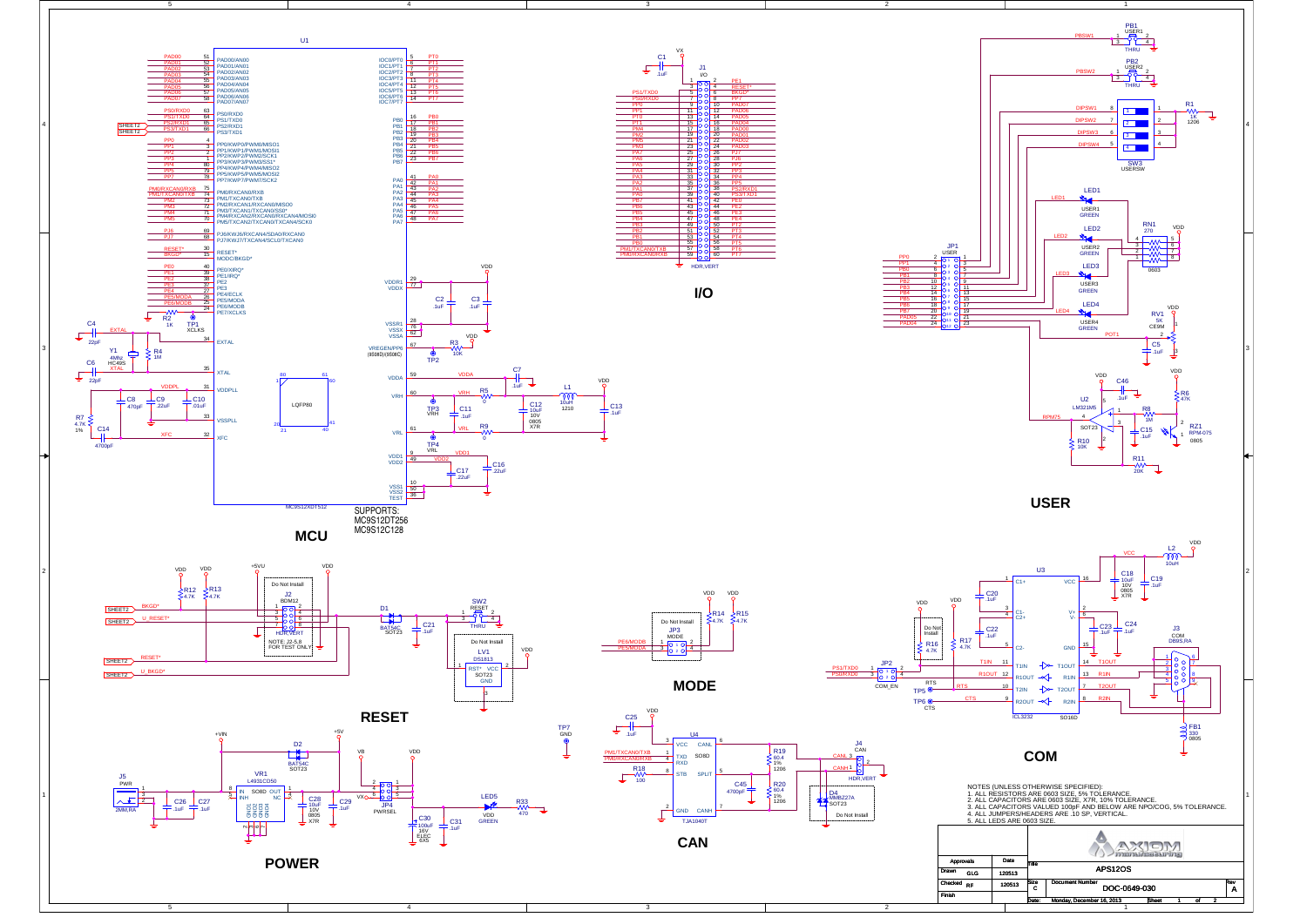